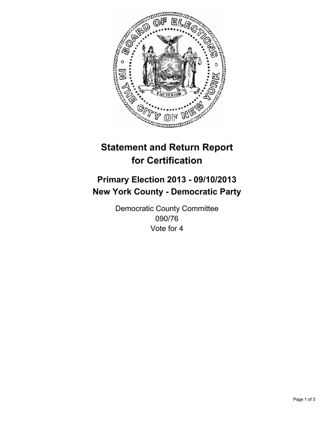

# **Statement and Return Report for Certification**

## **Primary Election 2013 - 09/10/2013 New York County - Democratic Party**

Democratic County Committee 090/76 Vote for 4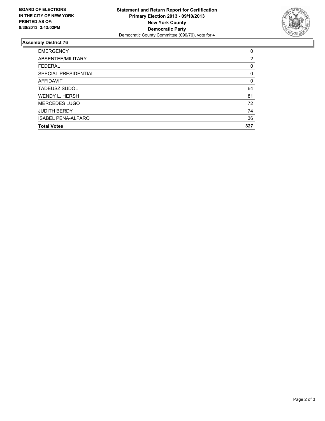

### **Assembly District 76**

| <b>EMERGENCY</b>          | $\Omega$ |
|---------------------------|----------|
| ABSENTEE/MILITARY         | 2        |
| <b>FEDERAL</b>            | 0        |
| SPECIAL PRESIDENTIAL      | 0        |
| <b>AFFIDAVIT</b>          | 0        |
| <b>TADEUSZ SUDOL</b>      | 64       |
| <b>WENDY L. HERSH</b>     | 81       |
| <b>MERCEDES LUGO</b>      | 72       |
| <b>JUDITH BERDY</b>       | 74       |
| <b>ISABEL PENA-ALFARO</b> | 36       |
| <b>Total Votes</b>        | 327      |